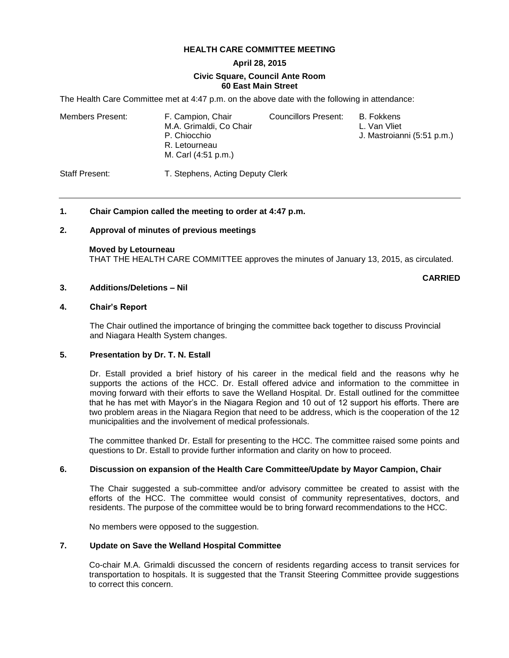### **HEALTH CARE COMMITTEE MEETING**

# **April 28, 2015**

#### **Civic Square, Council Ante Room 60 East Main Street**

The Health Care Committee met at 4:47 p.m. on the above date with the following in attendance:

| Members Present: | F. Campion, Chair<br>M.A. Grimaldi, Co Chair<br>P. Chiocchio<br>R. Letourneau<br>M. Carl (4:51 p.m.) | Councillors Present: | B. Fokkens<br>L. Van Vliet<br>J. Mastroianni (5:51 p.m.) |
|------------------|------------------------------------------------------------------------------------------------------|----------------------|----------------------------------------------------------|
| Staff Present:   | T. Stephens, Acting Deputy Clerk                                                                     |                      |                                                          |

### **1. Chair Campion called the meeting to order at 4:47 p.m.**

### **2. Approval of minutes of previous meetings**

**Moved by Letourneau** THAT THE HEALTH CARE COMMITTEE approves the minutes of January 13, 2015, as circulated.

#### **CARRIED**

### **3. Additions/Deletions – Nil**

### **4. Chair's Report**

The Chair outlined the importance of bringing the committee back together to discuss Provincial and Niagara Health System changes.

#### **5. Presentation by Dr. T. N. Estall**

Dr. Estall provided a brief history of his career in the medical field and the reasons why he supports the actions of the HCC. Dr. Estall offered advice and information to the committee in moving forward with their efforts to save the Welland Hospital. Dr. Estall outlined for the committee that he has met with Mayor's in the Niagara Region and 10 out of 12 support his efforts. There are two problem areas in the Niagara Region that need to be address, which is the cooperation of the 12 municipalities and the involvement of medical professionals.

The committee thanked Dr. Estall for presenting to the HCC. The committee raised some points and questions to Dr. Estall to provide further information and clarity on how to proceed.

#### **6. Discussion on expansion of the Health Care Committee/Update by Mayor Campion, Chair**

The Chair suggested a sub-committee and/or advisory committee be created to assist with the efforts of the HCC. The committee would consist of community representatives, doctors, and residents. The purpose of the committee would be to bring forward recommendations to the HCC.

No members were opposed to the suggestion.

#### **7. Update on Save the Welland Hospital Committee**

Co-chair M.A. Grimaldi discussed the concern of residents regarding access to transit services for transportation to hospitals. It is suggested that the Transit Steering Committee provide suggestions to correct this concern.